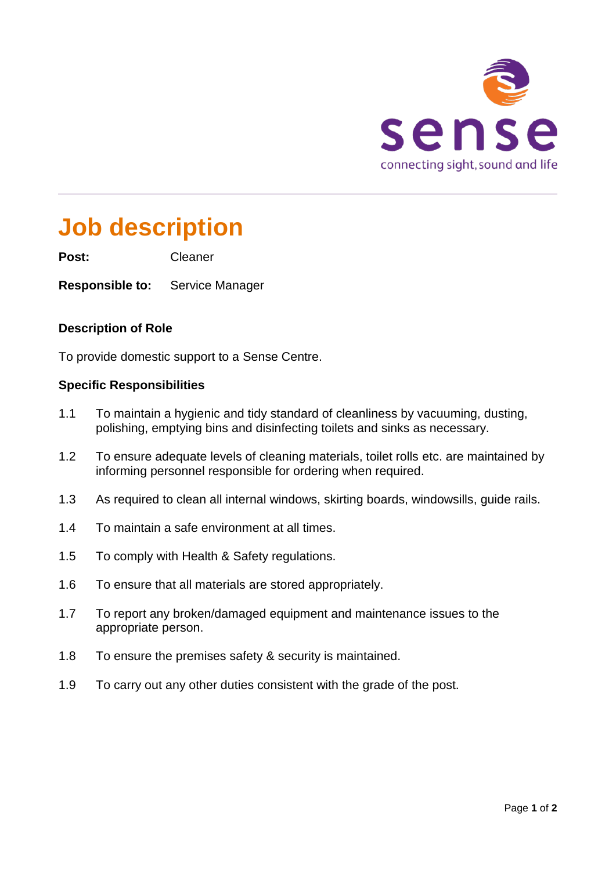

# **Job description**

**Post:** Cleaner

**Responsible to:** Service Manager

#### **Description of Role**

To provide domestic support to a Sense Centre.

#### **Specific Responsibilities**

- 1.1 To maintain a hygienic and tidy standard of cleanliness by vacuuming, dusting, polishing, emptying bins and disinfecting toilets and sinks as necessary.
- 1.2 To ensure adequate levels of cleaning materials, toilet rolls etc. are maintained by informing personnel responsible for ordering when required.
- 1.3 As required to clean all internal windows, skirting boards, windowsills, guide rails.
- 1.4 To maintain a safe environment at all times.
- 1.5 To comply with Health & Safety regulations.
- 1.6 To ensure that all materials are stored appropriately.
- 1.7 To report any broken/damaged equipment and maintenance issues to the appropriate person.
- 1.8 To ensure the premises safety & security is maintained.
- 1.9 To carry out any other duties consistent with the grade of the post.